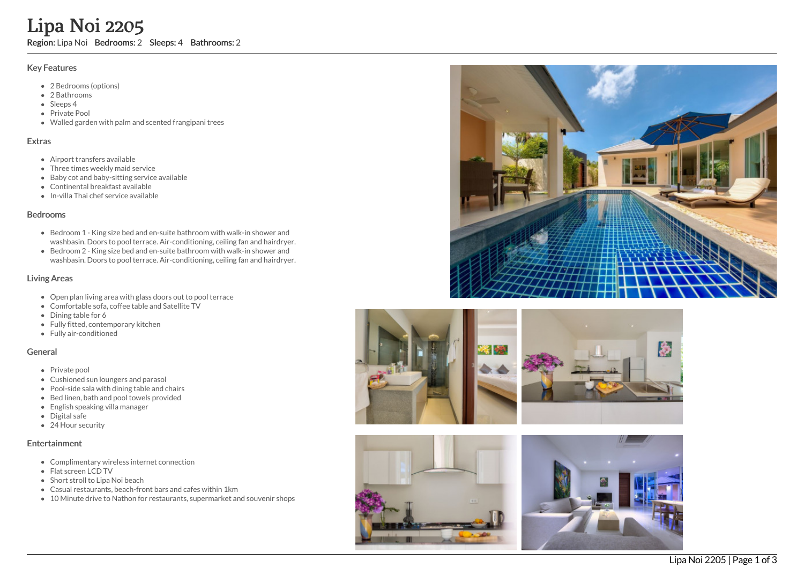## Key Features

- 2 Bedrooms (options)
- 2 Bathrooms
- Sleeps 4
- Private Pool
- Walled garden with palm and scented frangipani trees

## **Extras**

- Airport transfers available
- Three times weekly maid service
- Baby cot and baby-sitting service available
- Continental breakfast available
- In-villa Thai chef service available

# **Bedrooms**

- Bedroom 1 King size bed and en-suite bathroom with walk-in shower and washbasin. Doors to pool terrace. Air-conditioning, ceiling fan and hairdryer. 11 **Conserved Conserved Conserved Conserved Conserved Conserved Conserved Conserved Conserved Conserved Conserved Conserved Conserved Conserved Conserved Conserved Conserved Conserved Conserved Conserved Conserved Conserve** 
	- Bedroom 2 King size bed and en-suite bathroom with walk-in shower and washbasin. Doors to pool terrace. Air-conditioning, ceiling fan and hairdryer.

# Living Areas

- Open plan living area with glass doors out to pool terrace
- Comfortable sofa, coffee table and Satellite TV
- Dining table for 6
- Fully fitted, contemporary kitchen
- Fully air-conditioned

## General

- Private pool
- Cushioned sun loungers and parasol
- Pool-side sala with dining table and chairs
- Bed linen, bath and pool towels provided
- English speaking villa manager
- Digital safe
- 24 Hour security

## Entertainment

- Complimentary wireless internet connection
- Flat screen LCD TV
- Short stroll to Lipa Noi beach
- Casual restaurants, beach-front bars and cafes within 1km
- 









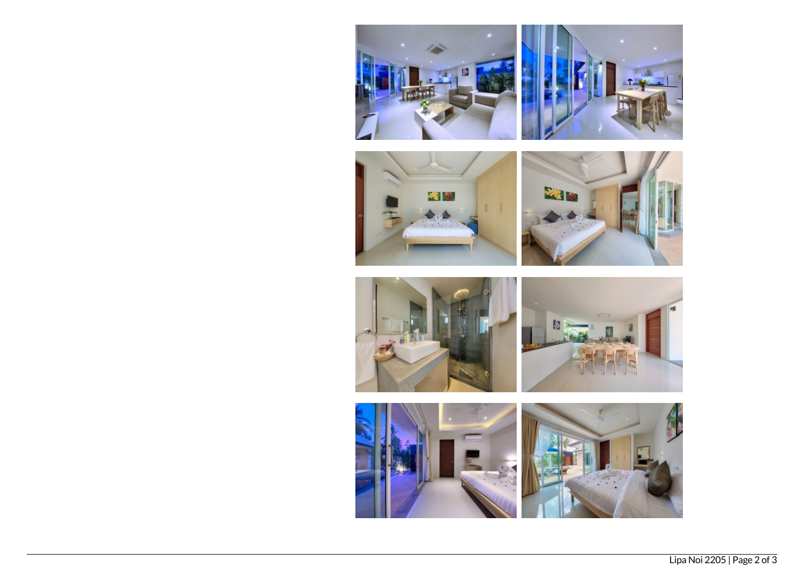